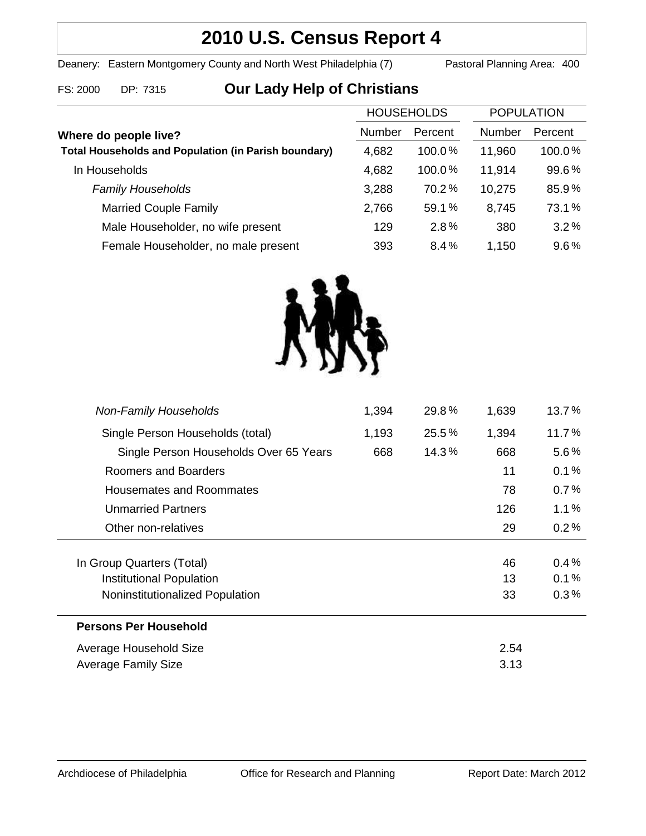## **2010 U.S. Census Report 4**

Deanery: Eastern Montgomery County and North West Philadelphia (7) Pastoral Planning Area: 400

# FS: 2000 DP: 7315 **Our Lady Help of Christians**

| <b>HOUSEHOLDS</b>                                           |        | <b>POPULATION</b> |        |         |
|-------------------------------------------------------------|--------|-------------------|--------|---------|
| Where do people live?                                       | Number | Percent           | Number | Percent |
| <b>Total Households and Population (in Parish boundary)</b> | 4,682  | $100.0\%$         | 11,960 | 100.0%  |
| In Households                                               | 4,682  | 100.0%            | 11,914 | 99.6%   |
| <b>Family Households</b>                                    | 3,288  | 70.2%             | 10,275 | 85.9%   |
| <b>Married Couple Family</b>                                | 2,766  | 59.1%             | 8,745  | 73.1%   |
| Male Householder, no wife present                           | 129    | 2.8%              | 380    | 3.2%    |
| Female Householder, no male present                         | 393    | 8.4%              | 1,150  | 9.6%    |



| <b>Non-Family Households</b>           | 1,394 | 29.8% | 1,639 | 13.7%   |
|----------------------------------------|-------|-------|-------|---------|
| Single Person Households (total)       | 1,193 | 25.5% | 1,394 | 11.7%   |
| Single Person Households Over 65 Years | 668   | 14.3% | 668   | $5.6\%$ |
| Roomers and Boarders                   |       |       | 11    | 0.1%    |
| Housemates and Roommates               |       |       | 78    | 0.7%    |
| <b>Unmarried Partners</b>              |       |       | 126   | 1.1%    |
| Other non-relatives                    |       |       | 29    | 0.2%    |
| In Group Quarters (Total)              |       |       | 46    | $0.4\%$ |
| Institutional Population               |       |       | 13    | 0.1%    |
| Noninstitutionalized Population        |       |       | 33    | 0.3%    |
| <b>Persons Per Household</b>           |       |       |       |         |
| Average Household Size                 |       |       | 2.54  |         |
| Average Family Size                    |       |       | 3.13  |         |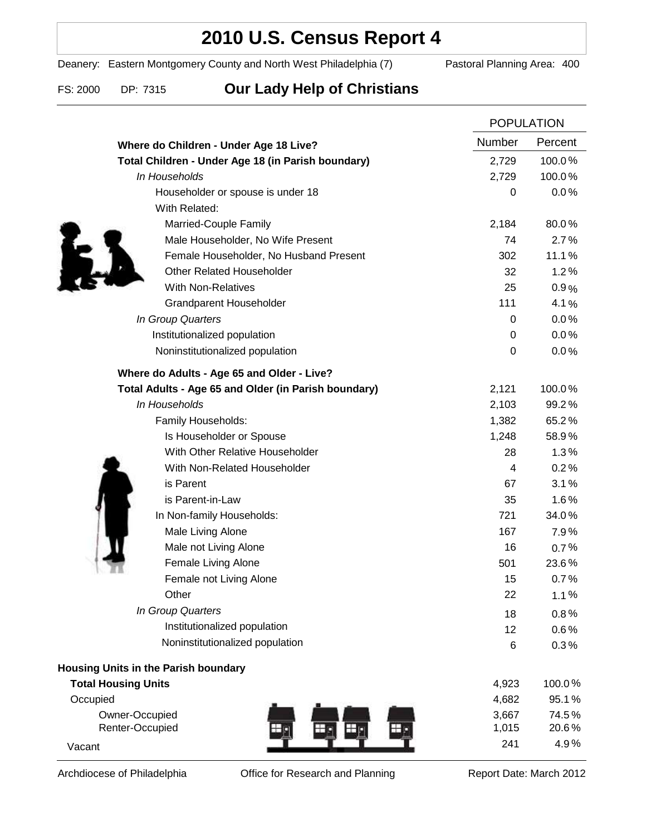### **2010 U.S. Census Report 4**

Deanery: Eastern Montgomery County and North West Philadelphia (7) Pastoral Planning Area: 400

### FS: 2000 DP: 7315 **Our Lady Help of Christians**

|                                                      |                  | <b>POPULATION</b> |  |
|------------------------------------------------------|------------------|-------------------|--|
| Where do Children - Under Age 18 Live?               | Number           | Percent           |  |
| Total Children - Under Age 18 (in Parish boundary)   | 2,729            | 100.0%            |  |
| In Households                                        | 2,729            | 100.0%            |  |
| Householder or spouse is under 18                    | 0                | 0.0%              |  |
| With Related:                                        |                  |                   |  |
| Married-Couple Family                                | 2,184            | 80.0%             |  |
| Male Householder, No Wife Present                    | 74               | 2.7%              |  |
| Female Householder, No Husband Present               | 302              | 11.1%             |  |
| <b>Other Related Householder</b>                     | 32               | 1.2%              |  |
| <b>With Non-Relatives</b>                            | 25               | 0.9%              |  |
| <b>Grandparent Householder</b>                       | 111              | 4.1%              |  |
| In Group Quarters                                    | 0                | 0.0%              |  |
| Institutionalized population                         | 0                | 0.0%              |  |
| Noninstitutionalized population                      | $\boldsymbol{0}$ | 0.0%              |  |
| Where do Adults - Age 65 and Older - Live?           |                  |                   |  |
| Total Adults - Age 65 and Older (in Parish boundary) | 2,121            | 100.0%            |  |
| In Households                                        | 2,103            | 99.2%             |  |
| Family Households:                                   | 1,382            | 65.2%             |  |
| Is Householder or Spouse                             | 1,248            | 58.9%             |  |
| With Other Relative Householder                      | 28               | 1.3%              |  |
| With Non-Related Householder                         | 4                | 0.2%              |  |
| is Parent                                            | 67               | 3.1%              |  |
| is Parent-in-Law                                     | 35               | 1.6%              |  |
| In Non-family Households:                            | 721              | 34.0%             |  |
| Male Living Alone                                    | 167              | 7.9%              |  |
| Male not Living Alone                                | 16               | 0.7%              |  |
| Female Living Alone                                  | 501              | 23.6%             |  |
| Female not Living Alone                              | 15               | 0.7%              |  |
| Other                                                | 22               | 1.1%              |  |
| In Group Quarters                                    | 18               | 0.8%              |  |
| Institutionalized population                         | 12               | 0.6%              |  |
| Noninstitutionalized population                      | 6                | 0.3%              |  |
| Housing Units in the Parish boundary                 |                  |                   |  |
| <b>Total Housing Units</b>                           | 4,923            | 100.0%            |  |
| Occupied                                             | 4,682            | 95.1%             |  |
| Owner-Occupied                                       | 3,667            | 74.5%             |  |
| Renter-Occupied                                      | 1,015            | 20.6%             |  |
| Vacant                                               | 241              | 4.9%              |  |

Archdiocese of Philadelphia **Office for Research and Planning** Report Date: March 2012